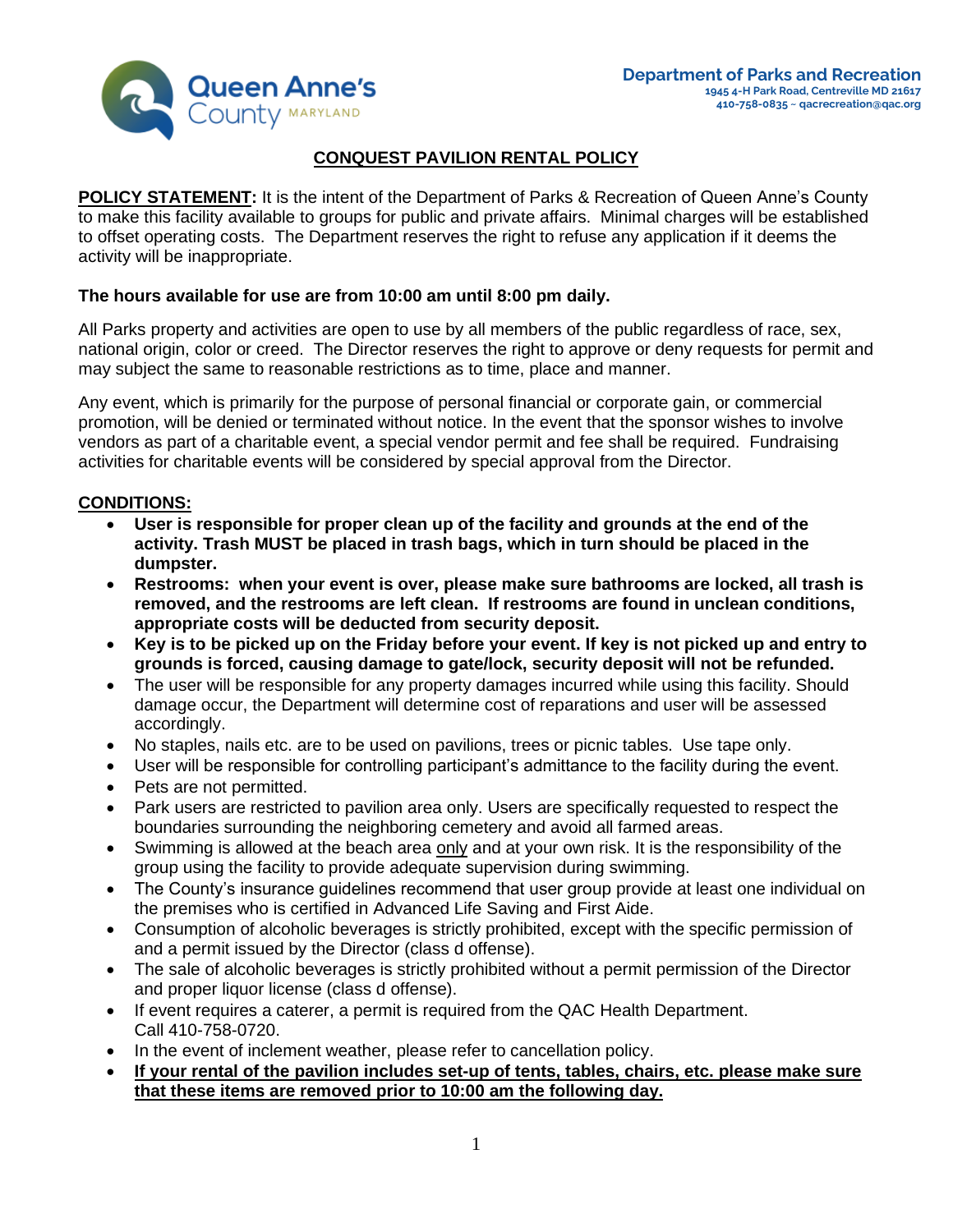

# **CONQUEST PAVILION RENTAL POLICY**

**POLICY STATEMENT:** It is the intent of the Department of Parks & Recreation of Queen Anne's County to make this facility available to groups for public and private affairs. Minimal charges will be established to offset operating costs. The Department reserves the right to refuse any application if it deems the activity will be inappropriate.

## **The hours available for use are from 10:00 am until 8:00 pm daily.**

All Parks property and activities are open to use by all members of the public regardless of race, sex, national origin, color or creed. The Director reserves the right to approve or deny requests for permit and may subject the same to reasonable restrictions as to time, place and manner.

Any event, which is primarily for the purpose of personal financial or corporate gain, or commercial promotion, will be denied or terminated without notice. In the event that the sponsor wishes to involve vendors as part of a charitable event, a special vendor permit and fee shall be required. Fundraising activities for charitable events will be considered by special approval from the Director.

## **CONDITIONS:**

- **User is responsible for proper clean up of the facility and grounds at the end of the activity. Trash MUST be placed in trash bags, which in turn should be placed in the dumpster.**
- **Restrooms: when your event is over, please make sure bathrooms are locked, all trash is removed, and the restrooms are left clean. If restrooms are found in unclean conditions, appropriate costs will be deducted from security deposit.**
- **Key is to be picked up on the Friday before your event. If key is not picked up and entry to grounds is forced, causing damage to gate/lock, security deposit will not be refunded.**
- The user will be responsible for any property damages incurred while using this facility. Should damage occur, the Department will determine cost of reparations and user will be assessed accordingly.
- No staples, nails etc. are to be used on pavilions, trees or picnic tables. Use tape only.
- User will be responsible for controlling participant's admittance to the facility during the event.
- Pets are not permitted.
- Park users are restricted to pavilion area only. Users are specifically requested to respect the boundaries surrounding the neighboring cemetery and avoid all farmed areas.
- Swimming is allowed at the beach area only and at your own risk. It is the responsibility of the group using the facility to provide adequate supervision during swimming.
- The County's insurance guidelines recommend that user group provide at least one individual on the premises who is certified in Advanced Life Saving and First Aide.
- Consumption of alcoholic beverages is strictly prohibited, except with the specific permission of and a permit issued by the Director (class d offense).
- The sale of alcoholic beverages is strictly prohibited without a permit permission of the Director and proper liquor license (class d offense).
- If event requires a caterer, a permit is required from the QAC Health Department. Call 410-758-0720.
- In the event of inclement weather, please refer to cancellation policy.
- **If your rental of the pavilion includes set-up of tents, tables, chairs, etc. please make sure that these items are removed prior to 10:00 am the following day.**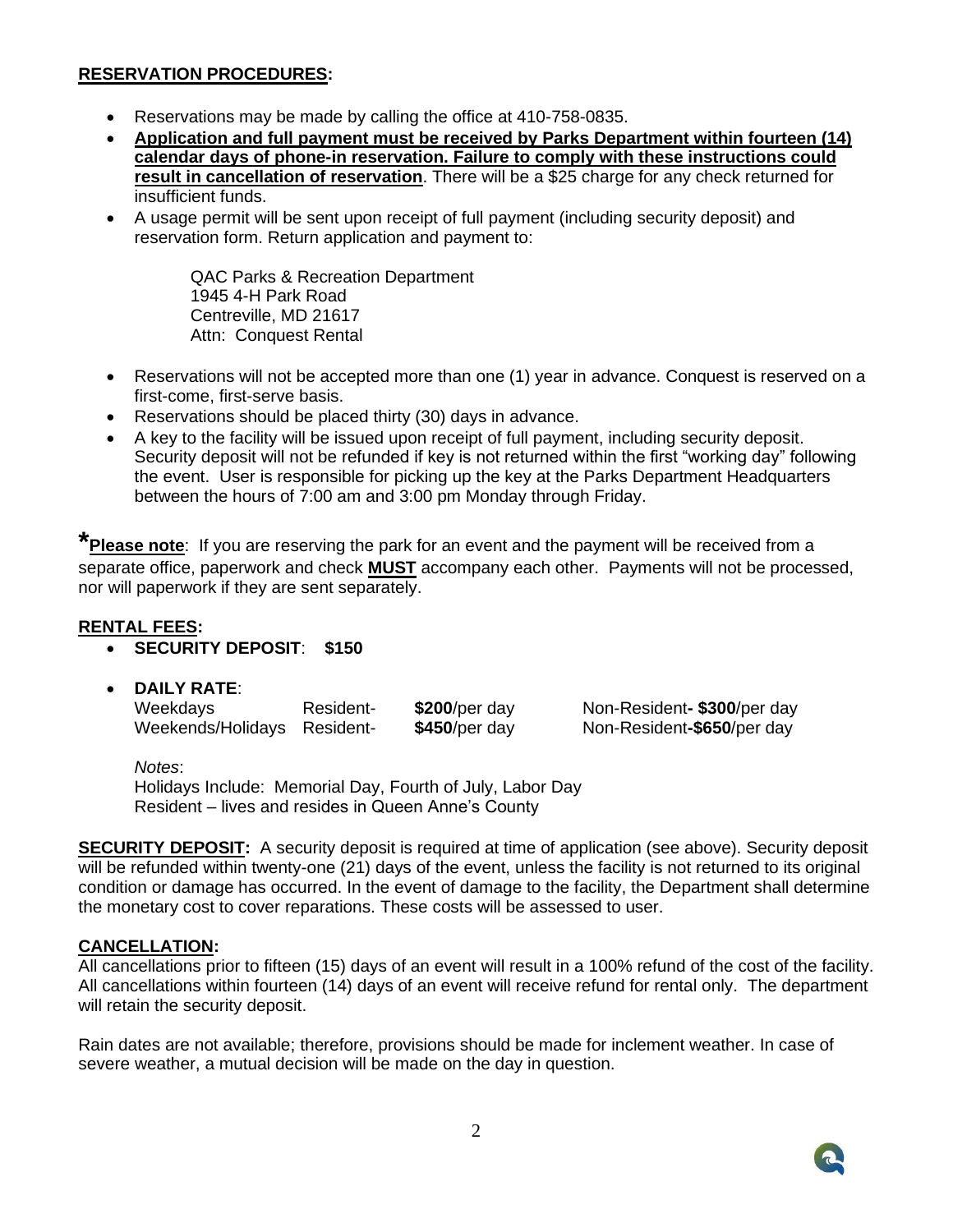#### **RESERVATION PROCEDURES:**

- Reservations may be made by calling the office at 410-758-0835.
- **Application and full payment must be received by Parks Department within fourteen (14) calendar days of phone-in reservation. Failure to comply with these instructions could result in cancellation of reservation**. There will be a \$25 charge for any check returned for insufficient funds.
- A usage permit will be sent upon receipt of full payment (including security deposit) and reservation form. Return application and payment to:

QAC Parks & Recreation Department 1945 4-H Park Road Centreville, MD 21617 Attn: Conquest Rental

- Reservations will not be accepted more than one (1) year in advance. Conquest is reserved on a first-come, first-serve basis.
- Reservations should be placed thirty (30) days in advance.
- A key to the facility will be issued upon receipt of full payment, including security deposit. Security deposit will not be refunded if key is not returned within the first "working day" following the event. User is responsible for picking up the key at the Parks Department Headquarters between the hours of 7:00 am and 3:00 pm Monday through Friday.

**\*Please note**: If you are reserving the park for an event and the payment will be received from a separate office, paperwork and check **MUST** accompany each other. Payments will not be processed, nor will paperwork if they are sent separately.

#### **RENTAL FEES:**

- **SECURITY DEPOSIT**: **\$150**
- **DAILY RATE**:

Weekdays Resident- **\$200**/per day Non-Resident**- \$300**/per day Weekends/Holidays Resident- **\$450**/per day Non-Resident-\$650/per day

*Notes*:

Holidays Include: Memorial Day, Fourth of July, Labor Day Resident – lives and resides in Queen Anne's County

**SECURITY DEPOSIT:** A security deposit is required at time of application (see above). Security deposit will be refunded within twenty-one (21) days of the event, unless the facility is not returned to its original condition or damage has occurred. In the event of damage to the facility, the Department shall determine the monetary cost to cover reparations. These costs will be assessed to user.

#### **CANCELLATION:**

All cancellations prior to fifteen (15) days of an event will result in a 100% refund of the cost of the facility. All cancellations within fourteen (14) days of an event will receive refund for rental only. The department will retain the security deposit.

Rain dates are not available; therefore, provisions should be made for inclement weather. In case of severe weather, a mutual decision will be made on the day in question.